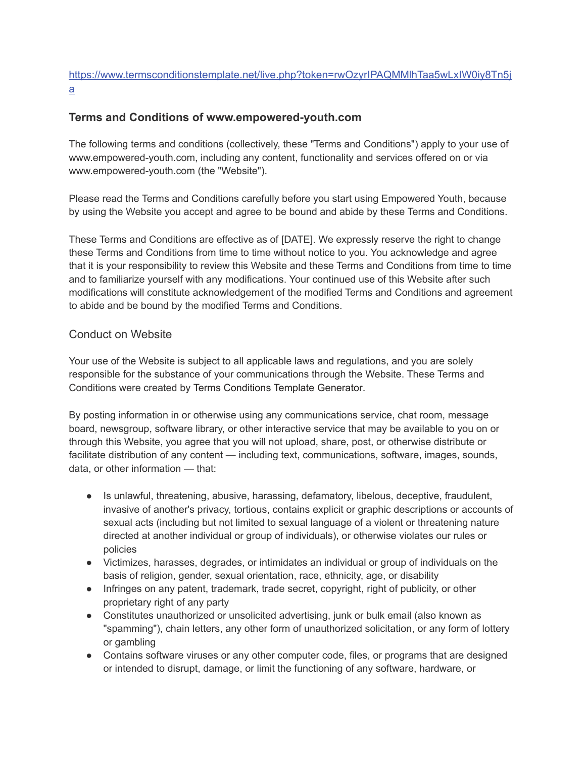## https://www.termsconditionstemplate.net/live.php?token=rwOzyrIPAQMMlhTaa5wLxIW0iy8Tn5j a

# **Terms and Conditions of www.empowered-youth.com**

The following terms and conditions (collectively, these "Terms and Conditions") apply to your use of www.empowered-youth.com, including any content, functionality and services offered on or via www.empowered-youth.com (the "Website").

Please read the Terms and Conditions carefully before you start using Empowered Youth, because by using the Website you accept and agree to be bound and abide by these Terms and Conditions.

These Terms and Conditions are effective as of [DATE]. We expressly reserve the right to change these Terms and Conditions from time to time without notice to you. You acknowledge and agree that it is your responsibility to review this Website and these Terms and Conditions from time to time and to familiarize yourself with any modifications. Your continued use of this Website after such modifications will constitute acknowledgement of the modified Terms and Conditions and agreement to abide and be bound by the modified Terms and Conditions.

### Conduct on Website

Your use of the Website is subject to all applicable laws and regulations, and you are solely responsible for the substance of your communications through the Website. These Terms and Conditions were created by Terms Conditions Template Generator.

By posting information in or otherwise using any communications service, chat room, message board, newsgroup, software library, or other interactive service that may be available to you on or through this Website, you agree that you will not upload, share, post, or otherwise distribute or facilitate distribution of any content — including text, communications, software, images, sounds, data, or other information — that:

- Is unlawful, threatening, abusive, harassing, defamatory, libelous, deceptive, fraudulent, invasive of another's privacy, tortious, contains explicit or graphic descriptions or accounts of sexual acts (including but not limited to sexual language of a violent or threatening nature directed at another individual or group of individuals), or otherwise violates our rules or policies
- Victimizes, harasses, degrades, or intimidates an individual or group of individuals on the basis of religion, gender, sexual orientation, race, ethnicity, age, or disability
- Infringes on any patent, trademark, trade secret, copyright, right of publicity, or other proprietary right of any party
- Constitutes unauthorized or unsolicited advertising, junk or bulk email (also known as "spamming"), chain letters, any other form of unauthorized solicitation, or any form of lottery or gambling
- Contains software viruses or any other computer code, files, or programs that are designed or intended to disrupt, damage, or limit the functioning of any software, hardware, or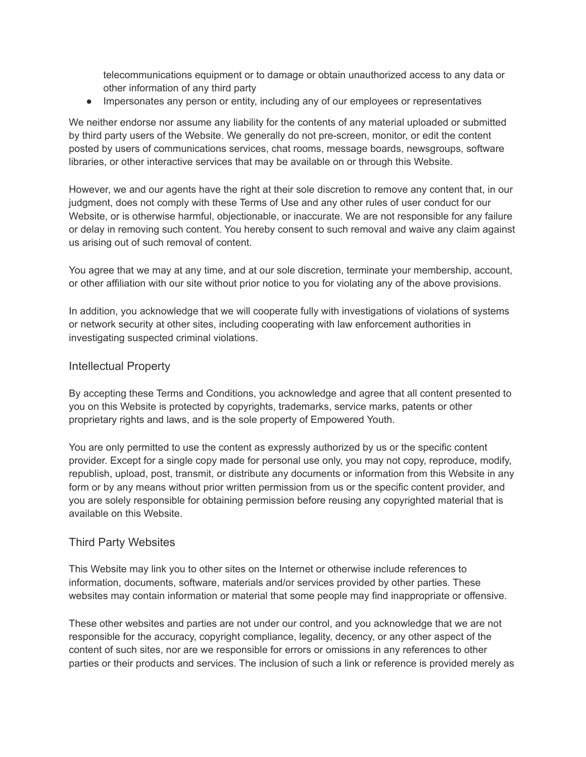telecommunications equipment or to damage or obtain unauthorized access to any data or other information of any third party

● Impersonates any person or entity, including any of our employees or representatives

We neither endorse nor assume any liability for the contents of any material uploaded or submitted by third party users of the Website. We generally do not pre-screen, monitor, or edit the content posted by users of communications services, chat rooms, message boards, newsgroups, software libraries, or other interactive services that may be available on or through this Website.

However, we and our agents have the right at their sole discretion to remove any content that, in our judgment, does not comply with these Terms of Use and any other rules of user conduct for our Website, or is otherwise harmful, objectionable, or inaccurate. We are not responsible for any failure or delay in removing such content. You hereby consent to such removal and waive any claim against us arising out of such removal of content.

You agree that we may at any time, and at our sole discretion, terminate your membership, account, or other affiliation with our site without prior notice to you for violating any of the above provisions.

In addition, you acknowledge that we will cooperate fully with investigations of violations of systems or network security at other sites, including cooperating with law enforcement authorities in investigating suspected criminal violations.

### Intellectual Property

By accepting these Terms and Conditions, you acknowledge and agree that all content presented to you on this Website is protected by copyrights, trademarks, service marks, patents or other proprietary rights and laws, and is the sole property of Empowered Youth.

You are only permitted to use the content as expressly authorized by us or the specific content provider. Except for a single copy made for personal use only, you may not copy, reproduce, modify, republish, upload, post, transmit, or distribute any documents or information from this Website in any form or by any means without prior written permission from us or the specific content provider, and you are solely responsible for obtaining permission before reusing any copyrighted material that is available on this Website.

### Third Party Websites

This Website may link you to other sites on the Internet or otherwise include references to information, documents, software, materials and/or services provided by other parties. These websites may contain information or material that some people may find inappropriate or offensive.

These other websites and parties are not under our control, and you acknowledge that we are not responsible for the accuracy, copyright compliance, legality, decency, or any other aspect of the content of such sites, nor are we responsible for errors or omissions in any references to other parties or their products and services. The inclusion of such a link or reference is provided merely as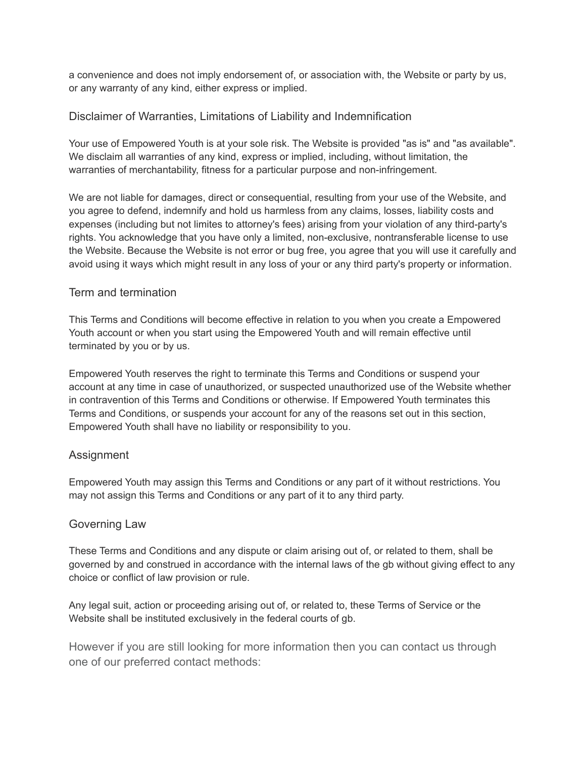a convenience and does not imply endorsement of, or association with, the Website or party by us, or any warranty of any kind, either express or implied.

### Disclaimer of Warranties, Limitations of Liability and Indemnification

Your use of Empowered Youth is at your sole risk. The Website is provided "as is" and "as available". We disclaim all warranties of any kind, express or implied, including, without limitation, the warranties of merchantability, fitness for a particular purpose and non-infringement.

We are not liable for damages, direct or consequential, resulting from your use of the Website, and you agree to defend, indemnify and hold us harmless from any claims, losses, liability costs and expenses (including but not limites to attorney's fees) arising from your violation of any third-party's rights. You acknowledge that you have only a limited, non-exclusive, nontransferable license to use the Website. Because the Website is not error or bug free, you agree that you will use it carefully and avoid using it ways which might result in any loss of your or any third party's property or information.

### Term and termination

This Terms and Conditions will become effective in relation to you when you create a Empowered Youth account or when you start using the Empowered Youth and will remain effective until terminated by you or by us.

Empowered Youth reserves the right to terminate this Terms and Conditions or suspend your account at any time in case of unauthorized, or suspected unauthorized use of the Website whether in contravention of this Terms and Conditions or otherwise. If Empowered Youth terminates this Terms and Conditions, or suspends your account for any of the reasons set out in this section, Empowered Youth shall have no liability or responsibility to you.

### Assignment

Empowered Youth may assign this Terms and Conditions or any part of it without restrictions. You may not assign this Terms and Conditions or any part of it to any third party.

### Governing Law

These Terms and Conditions and any dispute or claim arising out of, or related to them, shall be governed by and construed in accordance with the internal laws of the gb without giving effect to any choice or conflict of law provision or rule.

Any legal suit, action or proceeding arising out of, or related to, these Terms of Service or the Website shall be instituted exclusively in the federal courts of gb.

However if you are still looking for more information then you can contact us through one of our preferred contact methods: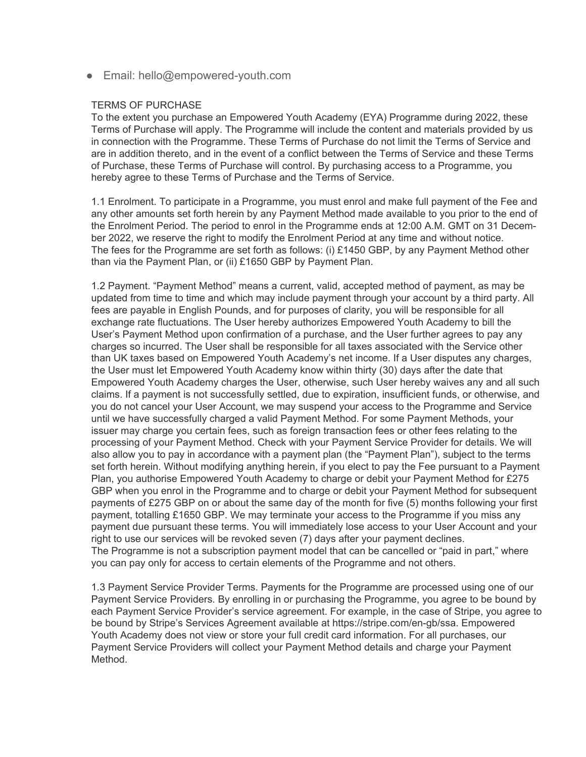● Email: hello@empowered-youth.com

#### TERMS OF PURCHASE

To the extent you purchase an Empowered Youth Academy (EYA) Programme during 2022, these Terms of Purchase will apply. The Programme will include the content and materials provided by us in connection with the Programme. These Terms of Purchase do not limit the Terms of Service and are in addition thereto, and in the event of a conflict between the Terms of Service and these Terms of Purchase, these Terms of Purchase will control. By purchasing access to a Programme, you hereby agree to these Terms of Purchase and the Terms of Service.

1.1 Enrolment. To participate in a Programme, you must enrol and make full payment of the Fee and any other amounts set forth herein by any Payment Method made available to you prior to the end of the Enrolment Period. The period to enrol in the Programme ends at 12:00 A.M. GMT on 31 December 2022, we reserve the right to modify the Enrolment Period at any time and without notice. The fees for the Programme are set forth as follows: (i) £1450 GBP, by any Payment Method other than via the Payment Plan, or (ii) £1650 GBP by Payment Plan.

1.2 Payment. "Payment Method" means a current, valid, accepted method of payment, as may be updated from time to time and which may include payment through your account by a third party. All fees are payable in English Pounds, and for purposes of clarity, you will be responsible for all exchange rate fluctuations. The User hereby authorizes Empowered Youth Academy to bill the User's Payment Method upon confirmation of a purchase, and the User further agrees to pay any charges so incurred. The User shall be responsible for all taxes associated with the Service other than UK taxes based on Empowered Youth Academy's net income. If a User disputes any charges, the User must let Empowered Youth Academy know within thirty (30) days after the date that Empowered Youth Academy charges the User, otherwise, such User hereby waives any and all such claims. If a payment is not successfully settled, due to expiration, insufficient funds, or otherwise, and you do not cancel your User Account, we may suspend your access to the Programme and Service until we have successfully charged a valid Payment Method. For some Payment Methods, your issuer may charge you certain fees, such as foreign transaction fees or other fees relating to the processing of your Payment Method. Check with your Payment Service Provider for details. We will also allow you to pay in accordance with a payment plan (the "Payment Plan"), subject to the terms set forth herein. Without modifying anything herein, if you elect to pay the Fee pursuant to a Payment Plan, you authorise Empowered Youth Academy to charge or debit your Payment Method for £275 GBP when you enrol in the Programme and to charge or debit your Payment Method for subsequent payments of £275 GBP on or about the same day of the month for five (5) months following your first payment, totalling £1650 GBP. We may terminate your access to the Programme if you miss any payment due pursuant these terms. You will immediately lose access to your User Account and your right to use our services will be revoked seven (7) days after your payment declines. The Programme is not a subscription payment model that can be cancelled or "paid in part," where you can pay only for access to certain elements of the Programme and not others.

1.3 Payment Service Provider Terms. Payments for the Programme are processed using one of our Payment Service Providers. By enrolling in or purchasing the Programme, you agree to be bound by each Payment Service Provider's service agreement. For example, in the case of Stripe, you agree to be bound by Stripe's Services Agreement available at https://stripe.com/en-gb/ssa. Empowered Youth Academy does not view or store your full credit card information. For all purchases, our Payment Service Providers will collect your Payment Method details and charge your Payment Method.